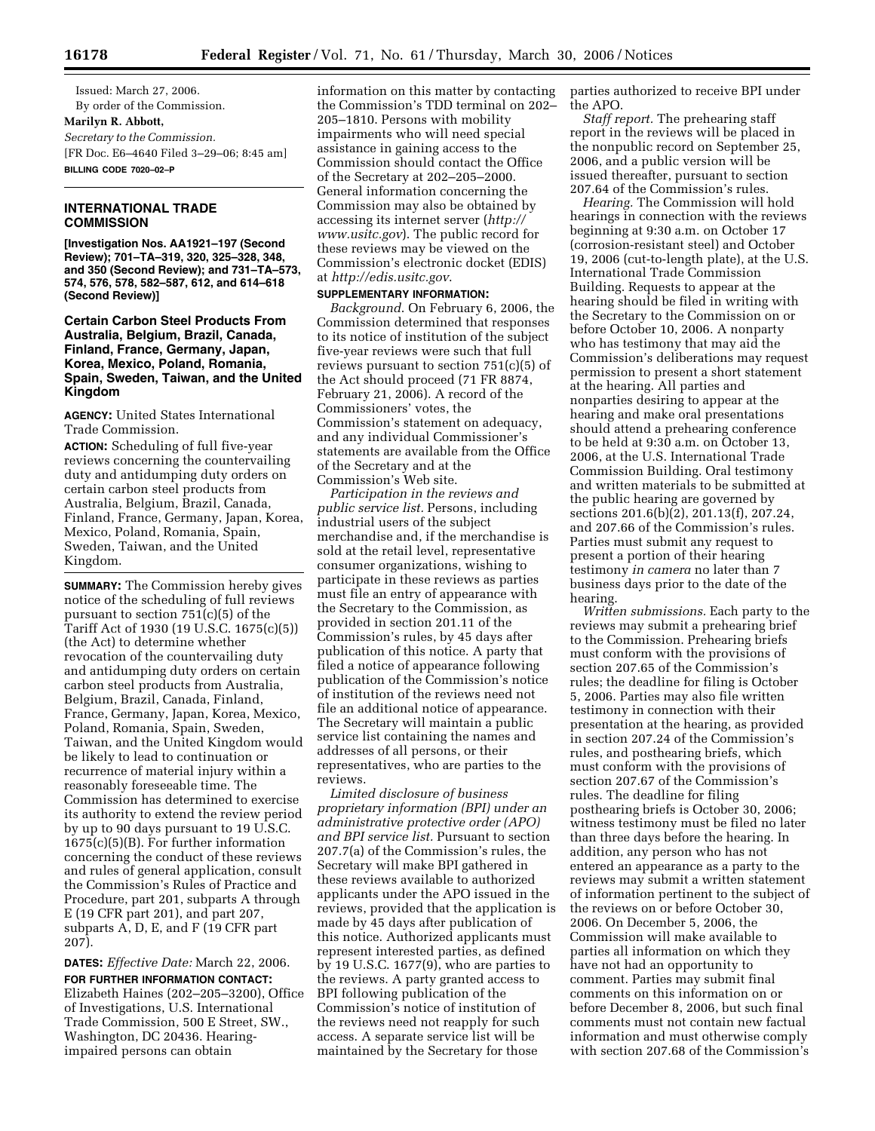Issued: March 27, 2006. By order of the Commission. **Marilyn R. Abbott,**  *Secretary to the Commission.*  [FR Doc. E6–4640 Filed 3–29–06; 8:45 am] **BILLING CODE 7020–02–P** 

#### **INTERNATIONAL TRADE COMMISSION**

**[Investigation Nos. AA1921–197 (Second Review); 701–TA–319, 320, 325–328, 348, and 350 (Second Review); and 731–TA–573, 574, 576, 578, 582–587, 612, and 614–618 (Second Review)]** 

# **Certain Carbon Steel Products From Australia, Belgium, Brazil, Canada, Finland, France, Germany, Japan, Korea, Mexico, Poland, Romania, Spain, Sweden, Taiwan, and the United Kingdom**

**AGENCY:** United States International Trade Commission.

**ACTION:** Scheduling of full five-year reviews concerning the countervailing duty and antidumping duty orders on certain carbon steel products from Australia, Belgium, Brazil, Canada, Finland, France, Germany, Japan, Korea, Mexico, Poland, Romania, Spain, Sweden, Taiwan, and the United Kingdom.

**SUMMARY:** The Commission hereby gives notice of the scheduling of full reviews pursuant to section 751(c)(5) of the Tariff Act of 1930 (19 U.S.C. 1675(c)(5)) (the Act) to determine whether revocation of the countervailing duty and antidumping duty orders on certain carbon steel products from Australia, Belgium, Brazil, Canada, Finland, France, Germany, Japan, Korea, Mexico, Poland, Romania, Spain, Sweden, Taiwan, and the United Kingdom would be likely to lead to continuation or recurrence of material injury within a reasonably foreseeable time. The Commission has determined to exercise its authority to extend the review period by up to 90 days pursuant to 19 U.S.C. 1675(c)(5)(B). For further information concerning the conduct of these reviews and rules of general application, consult the Commission's Rules of Practice and Procedure, part 201, subparts A through E (19 CFR part 201), and part 207, subparts A, D, E, and F (19 CFR part 207).

**DATES:** *Effective Date:* March 22, 2006. **FOR FURTHER INFORMATION CONTACT:**  Elizabeth Haines (202–205–3200), Office of Investigations, U.S. International Trade Commission, 500 E Street, SW., Washington, DC 20436. Hearingimpaired persons can obtain

information on this matter by contacting the Commission's TDD terminal on 202– 205–1810. Persons with mobility impairments who will need special assistance in gaining access to the Commission should contact the Office of the Secretary at 202–205–2000. General information concerning the Commission may also be obtained by accessing its internet server (*http:// www.usitc.gov*). The public record for these reviews may be viewed on the Commission's electronic docket (EDIS) at *http://edis.usitc.gov*.

### **SUPPLEMENTARY INFORMATION:**

*Background*. On February 6, 2006, the Commission determined that responses to its notice of institution of the subject five-year reviews were such that full reviews pursuant to section 751(c)(5) of the Act should proceed (71 FR 8874, February 21, 2006). A record of the Commissioners' votes, the Commission's statement on adequacy, and any individual Commissioner's statements are available from the Office of the Secretary and at the Commission's Web site.

*Participation in the reviews and public service list.* Persons, including industrial users of the subject merchandise and, if the merchandise is sold at the retail level, representative consumer organizations, wishing to participate in these reviews as parties must file an entry of appearance with the Secretary to the Commission, as provided in section 201.11 of the Commission's rules, by 45 days after publication of this notice. A party that filed a notice of appearance following publication of the Commission's notice of institution of the reviews need not file an additional notice of appearance. The Secretary will maintain a public service list containing the names and addresses of all persons, or their representatives, who are parties to the reviews.

*Limited disclosure of business proprietary information (BPI) under an administrative protective order (APO) and BPI service list.* Pursuant to section 207.7(a) of the Commission's rules, the Secretary will make BPI gathered in these reviews available to authorized applicants under the APO issued in the reviews, provided that the application is made by 45 days after publication of this notice. Authorized applicants must represent interested parties, as defined by 19 U.S.C. 1677(9), who are parties to the reviews. A party granted access to BPI following publication of the Commission's notice of institution of the reviews need not reapply for such access. A separate service list will be maintained by the Secretary for those

parties authorized to receive BPI under the APO.

*Staff report.* The prehearing staff report in the reviews will be placed in the nonpublic record on September 25, 2006, and a public version will be issued thereafter, pursuant to section 207.64 of the Commission's rules.

*Hearing.* The Commission will hold hearings in connection with the reviews beginning at 9:30 a.m. on October 17 (corrosion-resistant steel) and October 19, 2006 (cut-to-length plate), at the U.S. International Trade Commission Building. Requests to appear at the hearing should be filed in writing with the Secretary to the Commission on or before October 10, 2006. A nonparty who has testimony that may aid the Commission's deliberations may request permission to present a short statement at the hearing. All parties and nonparties desiring to appear at the hearing and make oral presentations should attend a prehearing conference to be held at 9:30 a.m. on October 13, 2006, at the U.S. International Trade Commission Building. Oral testimony and written materials to be submitted at the public hearing are governed by sections 201.6(b)(2), 201.13(f), 207.24, and 207.66 of the Commission's rules. Parties must submit any request to present a portion of their hearing testimony *in camera* no later than 7 business days prior to the date of the hearing.

*Written submissions.* Each party to the reviews may submit a prehearing brief to the Commission. Prehearing briefs must conform with the provisions of section 207.65 of the Commission's rules; the deadline for filing is October 5, 2006. Parties may also file written testimony in connection with their presentation at the hearing, as provided in section 207.24 of the Commission's rules, and posthearing briefs, which must conform with the provisions of section 207.67 of the Commission's rules. The deadline for filing posthearing briefs is October 30, 2006; witness testimony must be filed no later than three days before the hearing. In addition, any person who has not entered an appearance as a party to the reviews may submit a written statement of information pertinent to the subject of the reviews on or before October 30, 2006. On December 5, 2006, the Commission will make available to parties all information on which they have not had an opportunity to comment. Parties may submit final comments on this information on or before December 8, 2006, but such final comments must not contain new factual information and must otherwise comply with section 207.68 of the Commission's